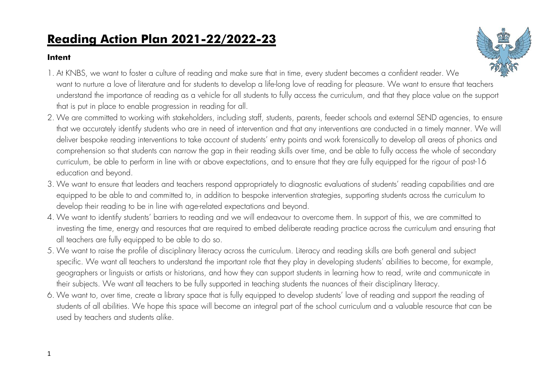## **Reading Action Plan 2021-22/2022-23**

## **Intent**



- 1. At KNBS, we want to foster a culture of reading and make sure that in time, every student becomes a confident reader. We want to nurture a love of literature and for students to develop a life-long love of reading for pleasure. We want to ensure that teachers understand the importance of reading as a vehicle for all students to fully access the curriculum, and that they place value on the support that is put in place to enable progression in reading for all.
- 2. We are committed to working with stakeholders, including staff, students, parents, feeder schools and external SEND agencies, to ensure that we accurately identify students who are in need of intervention and that any interventions are conducted in a timely manner. We will deliver bespoke reading interventions to take account of students' entry points and work forensically to develop all areas of phonics and comprehension so that students can narrow the gap in their reading skills over time, and be able to fully access the whole of secondary curriculum, be able to perform in line with or above expectations, and to ensure that they are fully equipped for the rigour of post-16 education and beyond.
- 3. We want to ensure that leaders and teachers respond appropriately to diagnostic evaluations of students' reading capabilities and are equipped to be able to and committed to, in addition to bespoke intervention strategies, supporting students across the curriculum to develop their reading to be in line with age-related expectations and beyond.
- 4. We want to identify students' barriers to reading and we will endeavour to overcome them. In support of this, we are committed to investing the time, energy and resources that are required to embed deliberate reading practice across the curriculum and ensuring that all teachers are fully equipped to be able to do so.
- 5. We want to raise the profile of disciplinary literacy across the curriculum. Literacy and reading skills are both general and subject specific. We want all teachers to understand the important role that they play in developing students' abilities to become, for example, geographers or linguists or artists or historians, and how they can support students in learning how to read, write and communicate in their subjects. We want all teachers to be fully supported in teaching students the nuances of their disciplinary literacy.
- 6. We want to, over time, create a library space that is fully equipped to develop students' love of reading and support the reading of students of all abilities. We hope this space will become an integral part of the school curriculum and a valuable resource that can be used by teachers and students alike.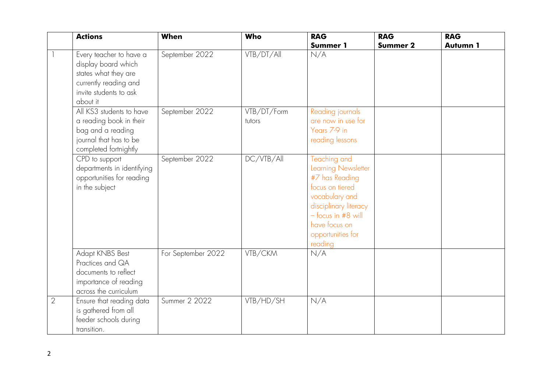|   | <b>Actions</b>                                                                                                                        | When               | Who                   | <b>RAG</b>                                                                                                                                                                                   | <b>RAG</b>      | <b>RAG</b>      |
|---|---------------------------------------------------------------------------------------------------------------------------------------|--------------------|-----------------------|----------------------------------------------------------------------------------------------------------------------------------------------------------------------------------------------|-----------------|-----------------|
|   |                                                                                                                                       |                    |                       | <b>Summer 1</b>                                                                                                                                                                              | <b>Summer 2</b> | <b>Autumn 1</b> |
|   | Every teacher to have a<br>display board which<br>states what they are<br>currently reading and<br>invite students to ask<br>about it | September 2022     | VTB/DT/All            | N/A                                                                                                                                                                                          |                 |                 |
|   | All KS3 students to have<br>a reading book in their<br>bag and a reading<br>journal that has to be<br>completed fortnightly           | September 2022     | VTB/DT/Form<br>tutors | Reading journals<br>are now in use for<br>Years 7-9 in<br>reading lessons                                                                                                                    |                 |                 |
|   | CPD to support<br>departments in identifying<br>opportunities for reading<br>in the subject                                           | September 2022     | DC/VTB/All            | Teaching and<br>Learning Newsletter<br>#7 has Reading<br>focus on tiered<br>vocabulary and<br>disciplinary literacy<br>$-$ focus in #8 will<br>have focus on<br>opportunities for<br>reading |                 |                 |
|   | Adapt KNBS Best<br>Practices and QA<br>documents to reflect<br>importance of reading<br>across the curriculum                         | For September 2022 | VTB/CKM               | N/A                                                                                                                                                                                          |                 |                 |
| 2 | Ensure that reading data<br>is gathered from all<br>feeder schools during<br>transition.                                              | Summer 2 2022      | VTB/HD/SH             | N/A                                                                                                                                                                                          |                 |                 |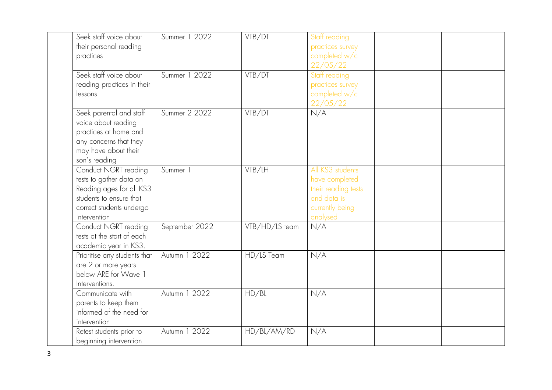| Seek staff voice about<br>their personal reading<br>practices                                                                                      | Summer 1 2022  | VTB/DT         | Staff reading<br>practices survey<br>completed w/c<br>22/05/22                                          |  |
|----------------------------------------------------------------------------------------------------------------------------------------------------|----------------|----------------|---------------------------------------------------------------------------------------------------------|--|
| Seek staff voice about<br>reading practices in their<br>lessons                                                                                    | Summer 1 2022  | VTB/DT         | Staff reading<br>practices survey<br>completed w/c<br>22/05/22                                          |  |
| Seek parental and staff<br>voice about reading<br>practices at home and<br>any concerns that they<br>may have about their<br>son's reading         | Summer 2 2022  | VTB/DT         | N/A                                                                                                     |  |
| Conduct NGRT reading<br>tests to gather data on<br>Reading ages for all KS3<br>students to ensure that<br>correct students undergo<br>intervention | Summer 1       | VTB/H          | All KS3 students<br>have completed<br>their reading tests<br>and data is<br>currently being<br>analysed |  |
| Conduct NGRT reading<br>tests at the start of each<br>academic year in KS3.                                                                        | September 2022 | VTB/HD/LS team | N/A                                                                                                     |  |
| Prioritise any students that<br>are 2 or more years<br>below ARE for Wave 1<br>Interventions.                                                      | Autumn 1 2022  | HD/LS Team     | N/A                                                                                                     |  |
| Communicate with<br>parents to keep them<br>informed of the need for<br>intervention                                                               | Autumn 1 2022  | HD/BL          | N/A                                                                                                     |  |
| Retest students prior to<br>beginning intervention                                                                                                 | Autumn 1 2022  | HD/BL/AM/RD    | N/A                                                                                                     |  |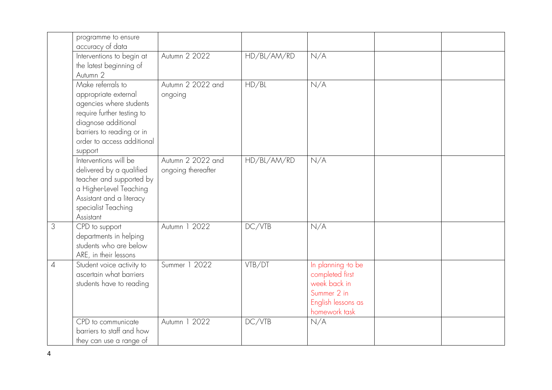|                | programme to ensure<br>accuracy of data                                                                                                                                                         |                                         |             |                                                                                                             |  |
|----------------|-------------------------------------------------------------------------------------------------------------------------------------------------------------------------------------------------|-----------------------------------------|-------------|-------------------------------------------------------------------------------------------------------------|--|
|                | Interventions to begin at<br>the latest beginning of<br>Autumn 2                                                                                                                                | Autumn 2 2022                           | HD/BL/AM/RD | N/A                                                                                                         |  |
|                | Make referrals to<br>appropriate external<br>agencies where students<br>require further testing to<br>diagnose additional<br>barriers to reading or in<br>order to access additional<br>support | Autumn 2 2022 and<br>ongoing            | HD/BL       | N/A                                                                                                         |  |
|                | Interventions will be<br>delivered by a qualified<br>teacher and supported by<br>a Higher-Level Teaching<br>Assistant and a literacy<br>specialist Teaching<br>Assistant                        | Autumn 2 2022 and<br>ongoing thereafter | HD/BL/AM/RD | N/A                                                                                                         |  |
| 3              | CPD to support<br>departments in helping<br>students who are below<br>ARE, in their lessons                                                                                                     | Autumn 1 2022                           | DC/VTB      | N/A                                                                                                         |  |
| $\overline{4}$ | Student voice activity to<br>ascertain what barriers<br>students have to reading                                                                                                                | Summer 1 2022                           | VTB/DT      | In planning -to be<br>completed first<br>week back in<br>Summer 2 in<br>English lessons as<br>homework task |  |
|                | CPD to communicate<br>barriers to staff and how<br>they can use a range of                                                                                                                      | Autumn 1 2022                           | DC/VTB      | N/A                                                                                                         |  |